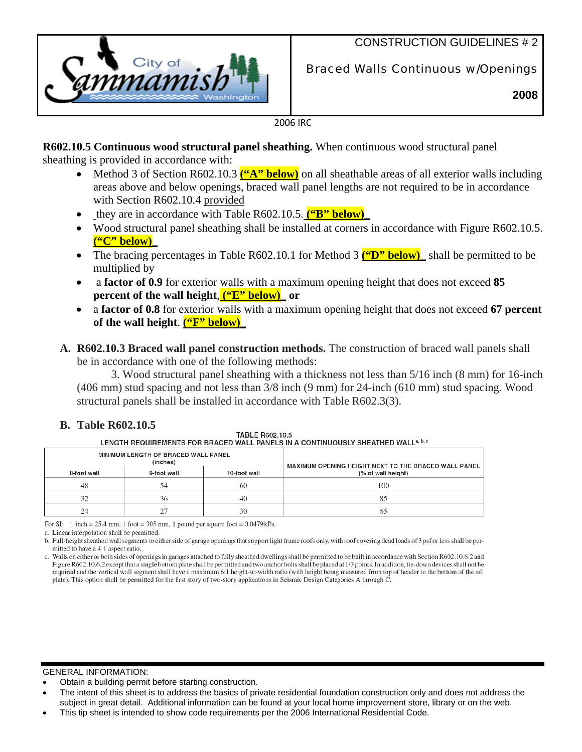

# CONSTRUCTION GUIDELINES # 2

Braced Walls Continuous w/Openings

**2008**

2006 IRC

**R602.10.5 Continuous wood structural panel sheathing.** When continuous wood structural panel sheathing is provided in accordance with:

- Method 3 of Section R602.10.3 **("A" below)** on all sheathable areas of all exterior walls including areas above and below openings, braced wall panel lengths are not required to be in accordance with Section R602.10.4 provided
- they are in accordance with Table R602.10.5. **("B" below)**
- Wood structural panel sheathing shall be installed at corners in accordance with Figure R602.10.5. **("C" below)\_**
- The bracing percentages in Table R602.10.1 for Method 3 **("D" below)** shall be permitted to be multiplied by
- a **factor of 0.9** for exterior walls with a maximum opening height that does not exceed **85 percent of the wall height**, **("E" below)\_ or**
- a **factor of 0.8** for exterior walls with a maximum opening height that does not exceed **67 percent of the wall height**. **("F" below)\_**
- **A. R602.10.3 Braced wall panel construction methods.** The construction of braced wall panels shall be in accordance with one of the following methods:

3. Wood structural panel sheathing with a thickness not less than 5/16 inch (8 mm) for 16-inch (406 mm) stud spacing and not less than 3/8 inch (9 mm) for 24-inch (610 mm) stud spacing. Wood structural panels shall be installed in accordance with Table R602.3(3).

## **B. Table R602.10.5**

TABLE B602.10.5 LENGTH REQUIREMENTS FOR BRACED WALL PANELS IN A CONTINUOUSLY SHEATHED WALL<sup>a, b, c</sup>

| MINIMUM LENGTH OF BRACED WALL PANEL<br>(inches) |             |              | MAXIMUM OPENING HEIGHT NEXT TO THE BRACED WALL PANEL |  |
|-------------------------------------------------|-------------|--------------|------------------------------------------------------|--|
| 8-foot wall                                     | 9-foot wall | 10-foot wall | (% of wall height)                                   |  |
| 48                                              | 54          | 60           | 100                                                  |  |
| $\mathfrak{D}$                                  | 36          | 40           |                                                      |  |
| 24                                              | つつ          | 30           | 67                                                   |  |

For SI: 1 inch = 25.4 mm, 1 foot = 305 mm, 1 pound per square foot =  $0.0479$  kPa.

GENERAL INFORMATION:

- Obtain a building permit before starting construction.
- The intent of this sheet is to address the basics of private residential foundation construction only and does not address the subject in great detail. Additional information can be found at your local home improvement store, library or on the web.
- This tip sheet is intended to show code requirements per the 2006 International Residential Code.

a. Linear interpolation shall be permitted.

b. Full-height sheathed wall segments to either side of garage openings that support light frame roofs only, with roof covering dead loads of 3 psf or less shall be permitted to have a 4:1 aspect ratio.

c. Walls on either or both sides of openings in garages attached to fully sheathed dwellings shall be permitted to be built in accordance with Section R602.10.6.2 and Figure R602.10.6.2 except that a single bottom plate shall be permitted and two anchor bolts shall be placed at 1/3 points. In addition, tie-down devices shall not be required and the vertical wall segment shall have a maximum 6:1 height-to-width ratio (with height being measured from top of header to the bottom of the sill plate). This option shall be permitted for the first story of two-story applications in Seismic Design Categories A through C.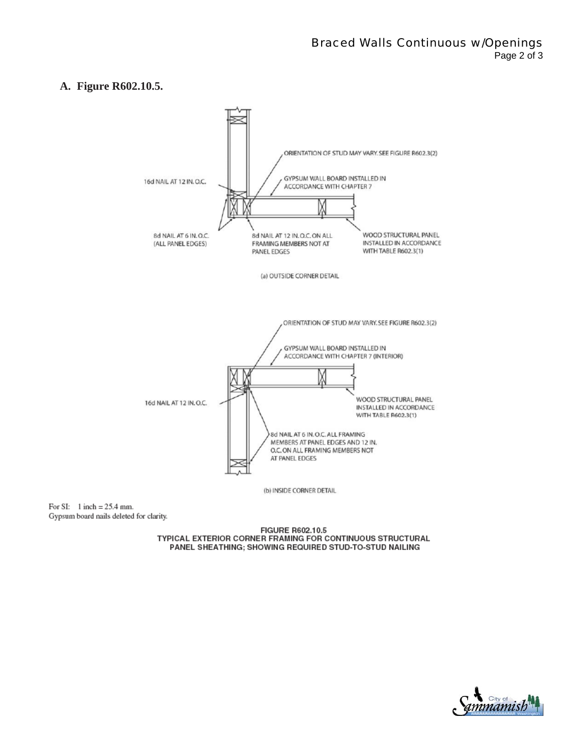### **A. Figure R602.10.5.**



For SI:  $1$  inch = 25.4 mm. Gypsum board nails deleted for clarity.

> FIGURE R602.10.5 TYPICAL EXTERIOR CORNER FRAMING FOR CONTINUOUS STRUCTURAL PANEL SHEATHING; SHOWING REQUIRED STUD-TO-STUD NAILING